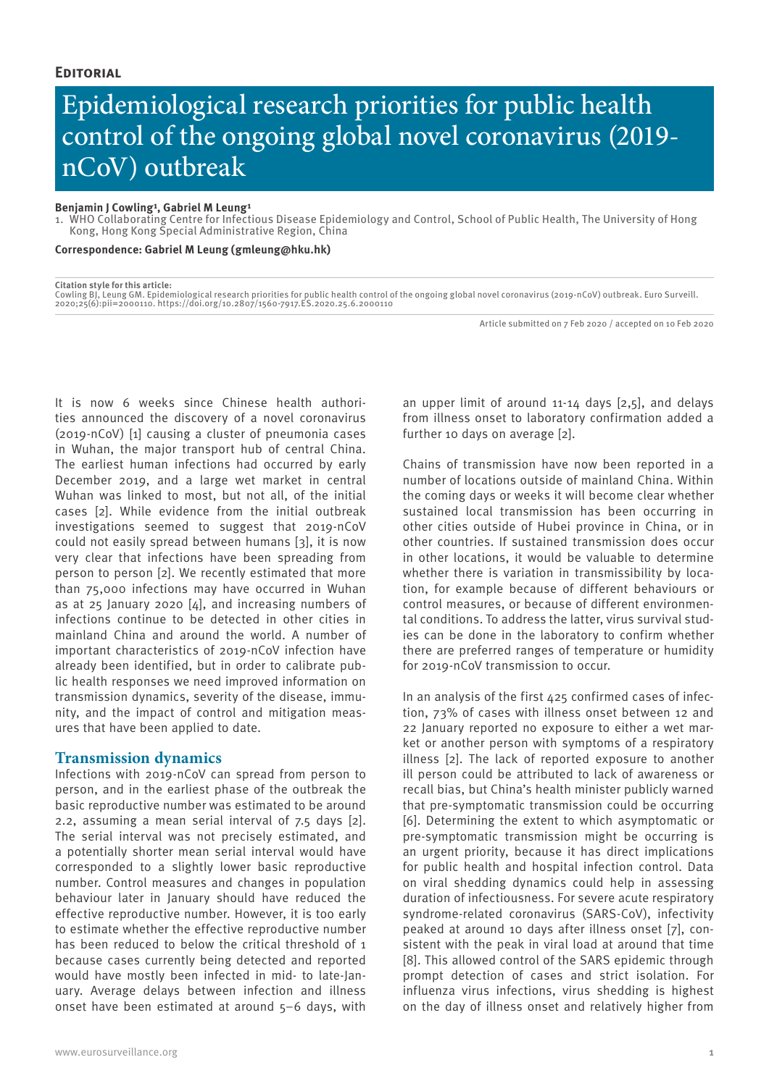# Epidemiological research priorities for public health control of the ongoing global novel coronavirus (2019 nCoV) outbreak

## **Benjamin J Cowling<sup>1</sup>, Gabriel M Leung<sup>1</sup>**

1. WHO Collaborating Centre for Infectious Disease Epidemiology and Control, School of Public Health, The University of Hong Kong, Hong Kong Special Administrative Region, China

**Correspondence: Gabriel M Leung (gmleung@hku.hk)**

**Citation style for this article:** Cowling BJ, Leung GM. Epidemiological research priorities for public health control of the ongoing global novel coronavirus (2019-nCoV) outbreak. Euro Surveill.<br>2020;25(6):pii=2000110. https://doi.org/10.2807/1560-7917.ES.

Article submitted on 7 Feb 2020 / accepted on 10 Feb 2020

It is now 6 weeks since Chinese health authorities announced the discovery of a novel coronavirus (2019-nCoV) [1] causing a cluster of pneumonia cases in Wuhan, the major transport hub of central China. The earliest human infections had occurred by early December 2019, and a large wet market in central Wuhan was linked to most, but not all, of the initial cases [2]. While evidence from the initial outbreak investigations seemed to suggest that 2019-nCoV could not easily spread between humans [3], it is now very clear that infections have been spreading from person to person [2]. We recently estimated that more than 75,000 infections may have occurred in Wuhan as at 25 January 2020 [4], and increasing numbers of infections continue to be detected in other cities in mainland China and around the world. A number of important characteristics of 2019-nCoV infection have already been identified, but in order to calibrate public health responses we need improved information on transmission dynamics, severity of the disease, immunity, and the impact of control and mitigation measures that have been applied to date.

# **Transmission dynamics**

Infections with 2019-nCoV can spread from person to person, and in the earliest phase of the outbreak the basic reproductive number was estimated to be around 2.2, assuming a mean serial interval of 7.5 days [2]. The serial interval was not precisely estimated, and a potentially shorter mean serial interval would have corresponded to a slightly lower basic reproductive number. Control measures and changes in population behaviour later in January should have reduced the effective reproductive number. However, it is too early to estimate whether the effective reproductive number has been reduced to below the critical threshold of 1 because cases currently being detected and reported would have mostly been infected in mid- to late-January. Average delays between infection and illness onset have been estimated at around 5–6 days, with

an upper limit of around 11-14 days [2,5], and delays from illness onset to laboratory confirmation added a further 10 days on average [2].

Chains of transmission have now been reported in a number of locations outside of mainland China. Within the coming days or weeks it will become clear whether sustained local transmission has been occurring in other cities outside of Hubei province in China, or in other countries. If sustained transmission does occur in other locations, it would be valuable to determine whether there is variation in transmissibility by location, for example because of different behaviours or control measures, or because of different environmental conditions. To address the latter, virus survival studies can be done in the laboratory to confirm whether there are preferred ranges of temperature or humidity for 2019-nCoV transmission to occur.

In an analysis of the first 425 confirmed cases of infection, 73% of cases with illness onset between 12 and 22 January reported no exposure to either a wet market or another person with symptoms of a respiratory illness [2]. The lack of reported exposure to another ill person could be attributed to lack of awareness or recall bias, but China's health minister publicly warned that pre-symptomatic transmission could be occurring [6]. Determining the extent to which asymptomatic or pre-symptomatic transmission might be occurring is an urgent priority, because it has direct implications for public health and hospital infection control. Data on viral shedding dynamics could help in assessing duration of infectiousness. For severe acute respiratory syndrome-related coronavirus (SARS-CoV), infectivity peaked at around 10 days after illness onset [7], consistent with the peak in viral load at around that time [8]. This allowed control of the SARS epidemic through prompt detection of cases and strict isolation. For influenza virus infections, virus shedding is highest on the day of illness onset and relatively higher from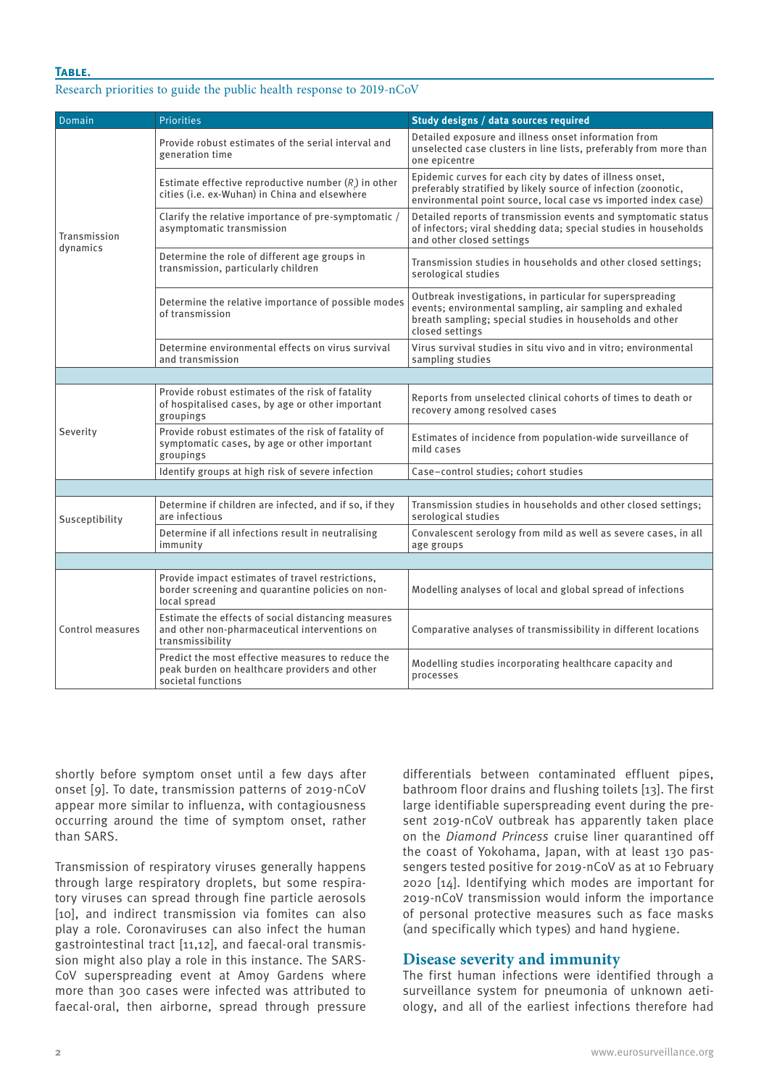# **Table.**

## Research priorities to guide the public health response to 2019-nCoV

| Domain                   | <b>Priorities</b>                                                                                                        | Study designs / data sources required                                                                                                                                                                |
|--------------------------|--------------------------------------------------------------------------------------------------------------------------|------------------------------------------------------------------------------------------------------------------------------------------------------------------------------------------------------|
| Transmission<br>dynamics | Provide robust estimates of the serial interval and<br>generation time                                                   | Detailed exposure and illness onset information from<br>unselected case clusters in line lists, preferably from more than<br>one epicentre                                                           |
|                          | Estimate effective reproductive number $(R)$ in other<br>cities (i.e. ex-Wuhan) in China and elsewhere                   | Epidemic curves for each city by dates of illness onset,<br>preferably stratified by likely source of infection (zoonotic,<br>environmental point source, local case vs imported index case)         |
|                          | Clarify the relative importance of pre-symptomatic /<br>asymptomatic transmission                                        | Detailed reports of transmission events and symptomatic status<br>of infectors; viral shedding data; special studies in households<br>and other closed settings                                      |
|                          | Determine the role of different age groups in<br>transmission, particularly children                                     | Transmission studies in households and other closed settings;<br>serological studies                                                                                                                 |
|                          | Determine the relative importance of possible modes<br>of transmission                                                   | Outbreak investigations, in particular for superspreading<br>events; environmental sampling, air sampling and exhaled<br>breath sampling; special studies in households and other<br>closed settings |
|                          | Determine environmental effects on virus survival<br>and transmission                                                    | Virus survival studies in situ vivo and in vitro; environmental<br>sampling studies                                                                                                                  |
|                          |                                                                                                                          |                                                                                                                                                                                                      |
| Severity                 | Provide robust estimates of the risk of fatality<br>of hospitalised cases, by age or other important<br>groupings        | Reports from unselected clinical cohorts of times to death or<br>recovery among resolved cases                                                                                                       |
|                          | Provide robust estimates of the risk of fatality of<br>symptomatic cases, by age or other important<br>groupings         | Estimates of incidence from population-wide surveillance of<br>mild cases                                                                                                                            |
|                          | Identify groups at high risk of severe infection                                                                         | Case-control studies; cohort studies                                                                                                                                                                 |
|                          |                                                                                                                          |                                                                                                                                                                                                      |
| Susceptibility           | Determine if children are infected, and if so, if they<br>are infectious                                                 | Transmission studies in households and other closed settings;<br>serological studies                                                                                                                 |
|                          | Determine if all infections result in neutralising<br>immunity                                                           | Convalescent serology from mild as well as severe cases, in all<br>age groups                                                                                                                        |
|                          |                                                                                                                          |                                                                                                                                                                                                      |
| Control measures         | Provide impact estimates of travel restrictions,<br>border screening and quarantine policies on non-<br>local spread     | Modelling analyses of local and global spread of infections                                                                                                                                          |
|                          | Estimate the effects of social distancing measures<br>and other non-pharmaceutical interventions on<br>transmissibility  | Comparative analyses of transmissibility in different locations                                                                                                                                      |
|                          | Predict the most effective measures to reduce the<br>peak burden on healthcare providers and other<br>societal functions | Modelling studies incorporating healthcare capacity and<br>processes                                                                                                                                 |

shortly before symptom onset until a few days after onset [9]. To date, transmission patterns of 2019-nCoV appear more similar to influenza, with contagiousness occurring around the time of symptom onset, rather than SARS.

Transmission of respiratory viruses generally happens through large respiratory droplets, but some respiratory viruses can spread through fine particle aerosols [10], and indirect transmission via fomites can also play a role. Coronaviruses can also infect the human gastrointestinal tract [11,12], and faecal-oral transmission might also play a role in this instance. The SARS-CoV superspreading event at Amoy Gardens where more than 300 cases were infected was attributed to faecal-oral, then airborne, spread through pressure differentials between contaminated effluent pipes, bathroom floor drains and flushing toilets [13]. The first large identifiable superspreading event during the present 2019-nCoV outbreak has apparently taken place on the *Diamond Princess* cruise liner quarantined off the coast of Yokohama, Japan, with at least 130 passengers tested positive for 2019-nCoV as at 10 February 2020 [14]. Identifying which modes are important for 2019-nCoV transmission would inform the importance of personal protective measures such as face masks (and specifically which types) and hand hygiene.

# **Disease severity and immunity**

The first human infections were identified through a surveillance system for pneumonia of unknown aetiology, and all of the earliest infections therefore had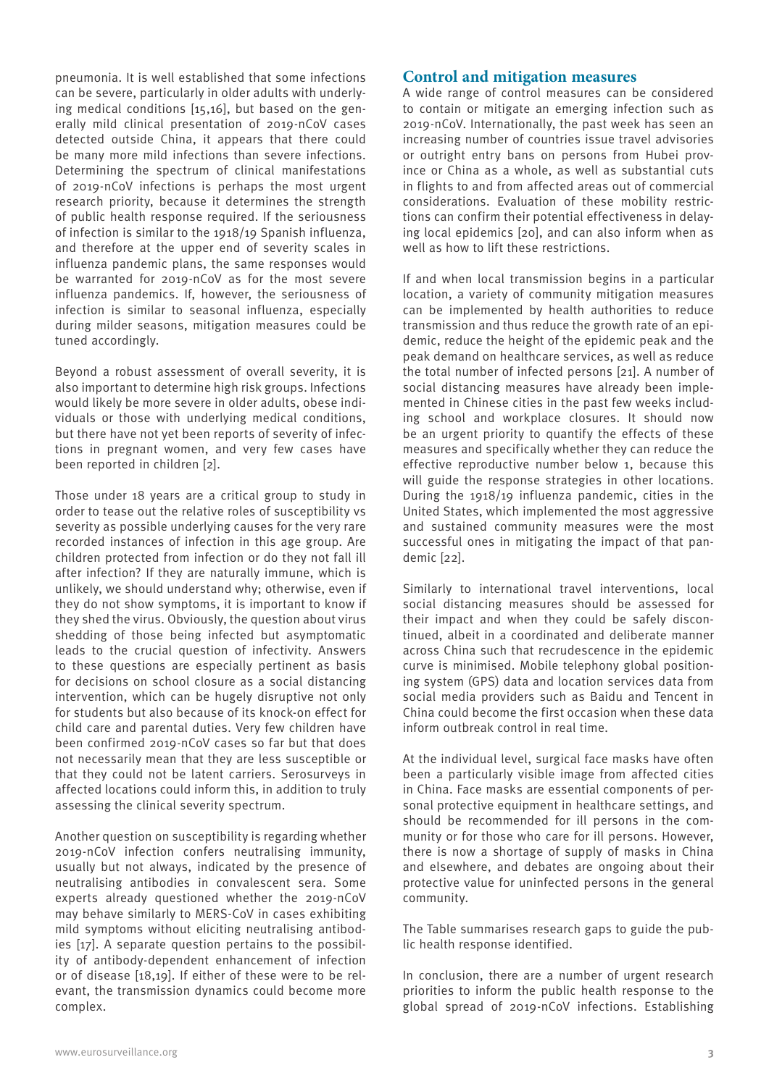pneumonia. It is well established that some infections can be severe, particularly in older adults with underlying medical conditions [15,16], but based on the generally mild clinical presentation of 2019-nCoV cases detected outside China, it appears that there could be many more mild infections than severe infections. Determining the spectrum of clinical manifestations of 2019-nCoV infections is perhaps the most urgent research priority, because it determines the strength of public health response required. If the seriousness of infection is similar to the 1918/19 Spanish influenza, and therefore at the upper end of severity scales in influenza pandemic plans, the same responses would be warranted for 2019-nCoV as for the most severe influenza pandemics. If, however, the seriousness of infection is similar to seasonal influenza, especially during milder seasons, mitigation measures could be tuned accordingly.

Beyond a robust assessment of overall severity, it is also important to determine high risk groups. Infections would likely be more severe in older adults, obese individuals or those with underlying medical conditions, but there have not yet been reports of severity of infections in pregnant women, and very few cases have been reported in children [2].

Those under 18 years are a critical group to study in order to tease out the relative roles of susceptibility vs severity as possible underlying causes for the very rare recorded instances of infection in this age group. Are children protected from infection or do they not fall ill after infection? If they are naturally immune, which is unlikely, we should understand why; otherwise, even if they do not show symptoms, it is important to know if they shed the virus. Obviously, the question about virus shedding of those being infected but asymptomatic leads to the crucial question of infectivity. Answers to these questions are especially pertinent as basis for decisions on school closure as a social distancing intervention, which can be hugely disruptive not only for students but also because of its knock-on effect for child care and parental duties. Very few children have been confirmed 2019-nCoV cases so far but that does not necessarily mean that they are less susceptible or that they could not be latent carriers. Serosurveys in affected locations could inform this, in addition to truly assessing the clinical severity spectrum.

Another question on susceptibility is regarding whether 2019-nCoV infection confers neutralising immunity, usually but not always, indicated by the presence of neutralising antibodies in convalescent sera. Some experts already questioned whether the 2019-nCoV may behave similarly to MERS-CoV in cases exhibiting mild symptoms without eliciting neutralising antibodies [17]. A separate question pertains to the possibility of antibody-dependent enhancement of infection or of disease [18,19]. If either of these were to be relevant, the transmission dynamics could become more complex.

# **Control and mitigation measures**

A wide range of control measures can be considered to contain or mitigate an emerging infection such as 2019-nCoV. Internationally, the past week has seen an increasing number of countries issue travel advisories or outright entry bans on persons from Hubei province or China as a whole, as well as substantial cuts in flights to and from affected areas out of commercial considerations. Evaluation of these mobility restrictions can confirm their potential effectiveness in delaying local epidemics [20], and can also inform when as well as how to lift these restrictions.

If and when local transmission begins in a particular location, a variety of community mitigation measures can be implemented by health authorities to reduce transmission and thus reduce the growth rate of an epidemic, reduce the height of the epidemic peak and the peak demand on healthcare services, as well as reduce the total number of infected persons [21]. A number of social distancing measures have already been implemented in Chinese cities in the past few weeks including school and workplace closures. It should now be an urgent priority to quantify the effects of these measures and specifically whether they can reduce the effective reproductive number below 1, because this will guide the response strategies in other locations. During the 1918/19 influenza pandemic, cities in the United States, which implemented the most aggressive and sustained community measures were the most successful ones in mitigating the impact of that pandemic [22].

Similarly to international travel interventions, local social distancing measures should be assessed for their impact and when they could be safely discontinued, albeit in a coordinated and deliberate manner across China such that recrudescence in the epidemic curve is minimised. Mobile telephony global positioning system (GPS) data and location services data from social media providers such as Baidu and Tencent in China could become the first occasion when these data inform outbreak control in real time.

At the individual level, surgical face masks have often been a particularly visible image from affected cities in China. Face masks are essential components of personal protective equipment in healthcare settings, and should be recommended for ill persons in the community or for those who care for ill persons. However, there is now a shortage of supply of masks in China and elsewhere, and debates are ongoing about their protective value for uninfected persons in the general community.

The Table summarises research gaps to guide the public health response identified.

In conclusion, there are a number of urgent research priorities to inform the public health response to the global spread of 2019-nCoV infections. Establishing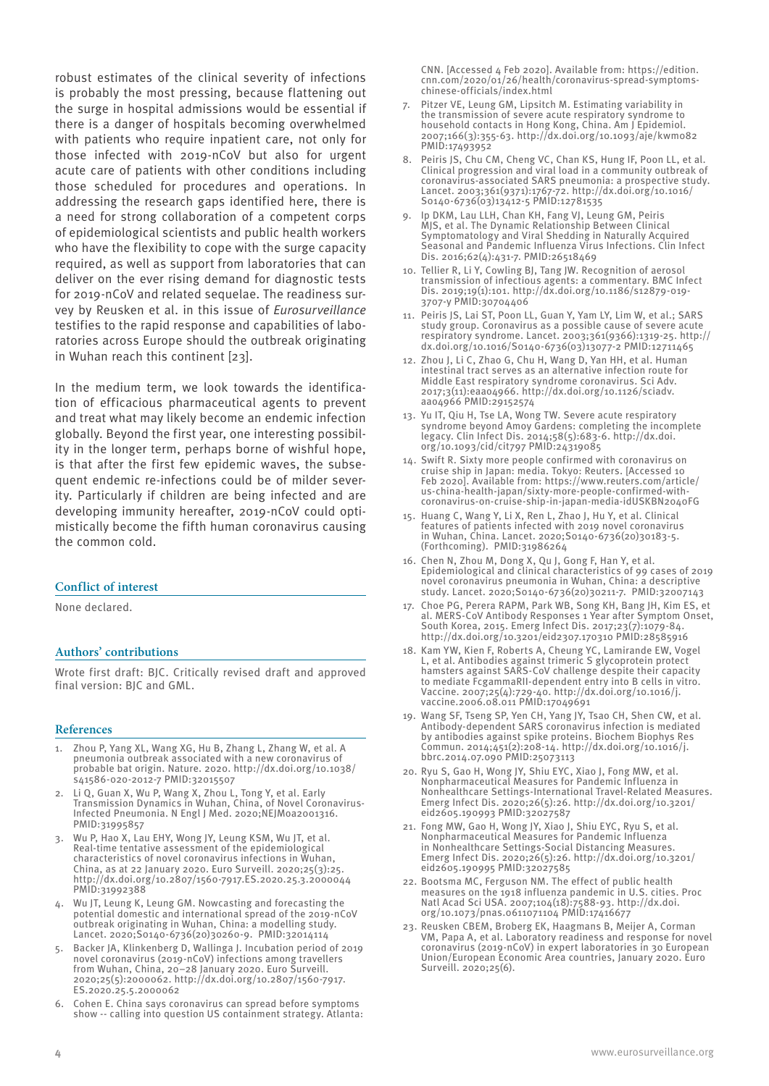robust estimates of the clinical severity of infections is probably the most pressing, because flattening out the surge in hospital admissions would be essential if there is a danger of hospitals becoming overwhelmed with patients who require inpatient care, not only for those infected with 2019-nCoV but also for urgent acute care of patients with other conditions including those scheduled for procedures and operations. In addressing the research gaps identified here, there is a need for strong collaboration of a competent corps of epidemiological scientists and public health workers who have the flexibility to cope with the surge capacity required, as well as support from laboratories that can deliver on the ever rising demand for diagnostic tests for 2019-nCoV and related sequelae. The readiness survey by Reusken et al. in this issue of *Eurosurveillance* testifies to the rapid response and capabilities of laboratories across Europe should the outbreak originating in Wuhan reach this continent [23].

In the medium term, we look towards the identification of efficacious pharmaceutical agents to prevent and treat what may likely become an endemic infection globally. Beyond the first year, one interesting possibility in the longer term, perhaps borne of wishful hope, is that after the first few epidemic waves, the subsequent endemic re-infections could be of milder severity. Particularly if children are being infected and are developing immunity hereafter, 2019-nCoV could optimistically become the fifth human coronavirus causing the common cold.

## **Conflict of interest**

None declared.

### **Authors' contributions**

Wrote first draft: BJC. Critically revised draft and approved final version: BJC and GML.

#### **References**

- Zhou P, Yang XL, Wang XG, Hu B, Zhang L, Zhang W, et al. A pneumonia outbreak associated with a new coronavirus of probable bat origin. Nature. 2020. http://dx.doi.org/10.1038/ s41586-020-2012-7 PMID:32015507
- 2. Li Q, Guan X, Wu P, Wang X, Zhou L, Tong Y, et al. Early Transmission Dynamics in Wuhan, China, of Novel Coronavirus-Infected Pneumonia. N Engl J Med. 2020;NEJMoa2001316. PMID:31995857
- 3. Wu P, Hao X, Lau EHY, Wong JY, Leung KSM, Wu JT, et al. Real-time tentative assessment of the epidemiological characteristics of novel coronavirus infections in Wuhan, China, as at 22 January 2020. Euro Surveill. 2020;25(3):25. http://dx.doi.org/10.2807/1560-7917.ES.2020.25.3.2000044 PMID:31992388
- 4. Wu JT, Leung K, Leung GM. Nowcasting and forecasting the potential domestic and international spread of the 2019-nCoV outbreak originating in Wuhan, China: a modelling study. Lancet. 2020;S0140-6736(20)30260-9. PMID:32014114
- 5. Backer JA, Klinkenberg D, Wallinga J. Incubation period of 2019 novel coronavirus (2019-nCoV) infections among travellers from Wuhan, China, 20–28 January 2020. Euro Surveill. 2020;25(5):2000062. http://dx.doi.org/10.2807/1560-7917. ES.2020.25.5.2000062
- 6. Cohen E. China says coronavirus can spread before symptoms show -- calling into question US containment strategy. Atlanta:

CNN. [Accessed 4 Feb 2020]. Available from: https://edition. cnn.com/2020/01/26/health/coronavirus-spread-symptomschinese-officials/index.html

- 7. Pitzer VE, Leung GM, Lipsitch M. Estimating variability in the transmission of severe acute respiratory syndrome to household contacts in Hong Kong, China. Am J Epidemiol. 2007;166(3):355-63. http://dx.doi.org/10.1093/aje/kwm082 PMID:17493952
- Peiris JS, Chu CM, Cheng VC, Chan KS, Hung IF, Poon LL, et al. Clinical progression and viral load in a community outbreak of coronavirus-associated SARS pneumonia: a prospective study. Lancet. 2003;361(9371):1767-72. http://dx.doi.org/10.1016/ S0140-6736(03)13412-5 PMID:12781535
- Ip DKM, Lau LLH, Chan KH, Fang VJ, Leung GM, Peiris MJS, et al. The Dynamic Relationship Between Clinical Symptomatology and Viral Shedding in Naturally Acquired Seasonal and Pandemic Influenza Virus Infections. Clin Infect Dis. 2016;62(4):431-7. PMID:26518469
- 10. Tellier R, Li Y, Cowling BJ, Tang JW. Recognition of aerosol transmission of infectious agents: a commentary. BMC Infect Dis. 2019;19(1):101. http://dx.doi.org/10.1186/s12879-019- 3707-y PMID:30704406
- 11. Peiris JS, Lai ST, Poon LL, Guan Y, Yam LY, Lim W, et al.; SARS study group. Coronavirus as a possible cause of severe acute respiratory syndrome. Lancet. 2003;361(9366):1319-25. http:// dx.doi.org/10.1016/S0140-6736(03)13077-2 PMID:12711465
- 12. Zhou J, Li C, Zhao G, Chu H, Wang D, Yan HH, et al. Human intestinal tract serves as an alternative infection route for Middle East respiratory syndrome coronavirus. Sci Adv. 2017;3(11):eaao4966. http://dx.doi.org/10.1126/sciadv. aao4966 PMID:29152574
- 13. Yu IT, Qiu H, Tse LA, Wong TW. Severe acute respiratory syndrome beyond Amoy Gardens: completing the incomplete legacy. Clin Infect Dis. 2014;58(5):683-6. http://dx.doi. org/10.1093/cid/cit797 PMID:24319085
- 14. Swift R. Sixty more people confirmed with coronavirus on cruise ship in Japan: media. Tokyo: Reuters. [Accessed 10 Feb 2020]. Available from: https://www.reuters.com/article/ us-china-health-japan/sixty-more-people-confirmed-withcoronavirus-on-cruise-ship-in-japan-media-idUSKBN2040FG
- 15. Huang C, Wang Y, Li X, Ren L, Zhao J, Hu Y, et al. Clinical features of patients infected with 2019 novel coronavirus in Wuhan, China. Lancet. 2020;S0140-6736(20)30183-5. (Forthcoming). PMID:31986264
- 16. Chen N, Zhou M, Dong X, Qu J, Gong F, Han Y, et al. Epidemiological and clinical characteristics of 99 cases of 2019 novel coronavirus pneumonia in Wuhan, China: a descriptive study. Lancet. 2020;S0140-6736(20)30211-7. PMID:32007143
- 17. Choe PG, Perera RAPM, Park WB, Song KH, Bang JH, Kim ES, et al. MERS-CoV Antibody Responses 1 Year after Symptom Onset, South Korea, 2015. Emerg Infect Dis. 2017;23(7):1079-84. http://dx.doi.org/10.3201/eid2307.170310 PMID:28585916
- 18. Kam YW, Kien F, Roberts A, Cheung YC, Lamirande EW, Vogel L, et al. Antibodies against trimeric S glycoprotein protect hamsters against SARS-CoV challenge despite their capacity to mediate FcgammaRII-dependent entry into B cells in vitro. Vaccine. 2007;25(4):729-40. http://dx.doi.org/10.1016/j. vaccine.2006.08.011 PMID:17049691
- 19. Wang SF, Tseng SP, Yen CH, Yang JY, Tsao CH, Shen CW, et al. Antibody-dependent SARS coronavirus infection is mediated by antibodies against spike proteins. Biochem Biophys Res Commun. 2014;451(2):208-14. http://dx.doi.org/10.1016/j. bbrc.2014.07.090 PMID:25073113
- 20. Ryu S, Gao H, Wong JY, Shiu EYC, Xiao J, Fong MW, et al. Nonpharmaceutical Measures for Pandemic Influenza in Nonhealthcare Settings-International Travel-Related Measures. Emerg Infect Dis. 2020;26(5):26. http://dx.doi.org/10.3201/ eid2605.190993 PMID:32027587
- 21. Fong MW, Gao H, Wong JY, Xiao J, Shiu EYC, Ryu S, et al. Nonpharmaceutical Measures for Pandemic Influenza in Nonhealthcare Settings-Social Distancing Measures. Emerg Infect Dis. 2020;26(5):26. http://dx.doi.org/10.3201/ eid2605.190995 PMID:32027585
- 22. Bootsma MC, Ferguson NM. The effect of public health measures on the 1918 influenza pandemic in U.S. cities. Proc Natl Acad Sci USA. 2007;104(18):7588-93. http://dx.doi. org/10.1073/pnas.0611071104 PMID:17416677
- 23. Reusken CBEM, Broberg EK, Haagmans B, Meijer A, Corman VM, Papa A, et al. Laboratory readiness and response for novel coronavirus (2019-nCoV) in expert laboratories in 30 European Union/European Economic Area countries, January 2020. Euro Surveill. 2020;25(6).